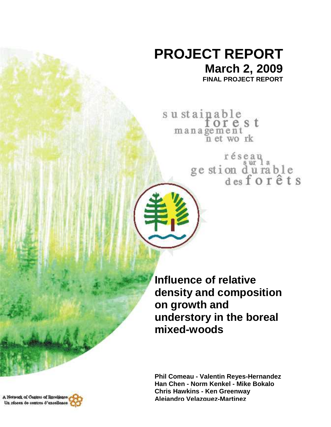## **PROJECT REPORT March 2, 2009**

**FINAL PROJECT REPORT** 

sustainable<br>forest<br>management<br>net work

réseau<br>ge stion d'urable<br>des forêts

**Influence of relative density and composition on growth and understory in the boreal mixed-woods** 

**Phil Comeau - Valentin Reyes-Hernandez Han Chen - Norm Kenkel - Mike Bokalo Chris Hawkins - Ken Greenway Alejandro Velazquez-Martinez**

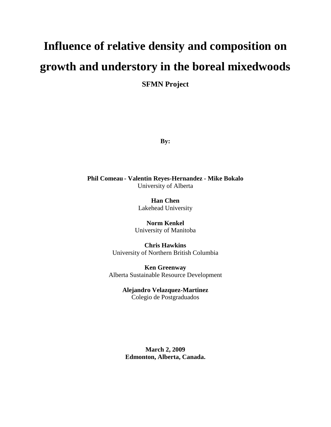# **Influence of relative density and composition on growth and understory in the boreal mixedwoods**

**SFMN Project** 

**By:** 

**Phil Comeau - Valentin Reyes-Hernandez - Mike Bokalo** University of Alberta

> **Han Chen**  Lakehead University

**Norm Kenkel**  University of Manitoba

**Chris Hawkins** University of Northern British Columbia

**Ken Greenway** Alberta Sustainable Resource Development

> **Alejandro Velazquez-Martinez** Colegio de Postgraduados

**March 2, 2009 Edmonton, Alberta, Canada.**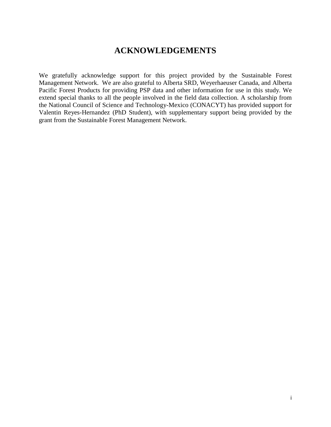#### **ACKNOWLEDGEMENTS**

We gratefully acknowledge support for this project provided by the Sustainable Forest Management Network. We are also grateful to Alberta SRD, Weyerhaeuser Canada, and Alberta Pacific Forest Products for providing PSP data and other information for use in this study. We extend special thanks to all the people involved in the field data collection. A scholarship from the National Council of Science and Technology-Mexico (CONACYT) has provided support for Valentin Reyes-Hernandez (PhD Student), with supplementary support being provided by the grant from the Sustainable Forest Management Network.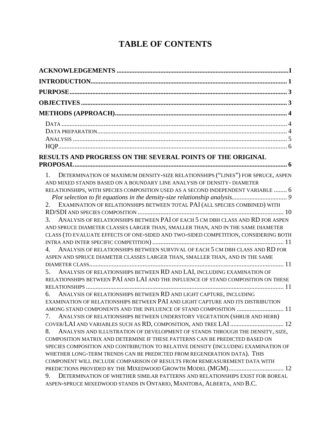### **TABLE OF CONTENTS**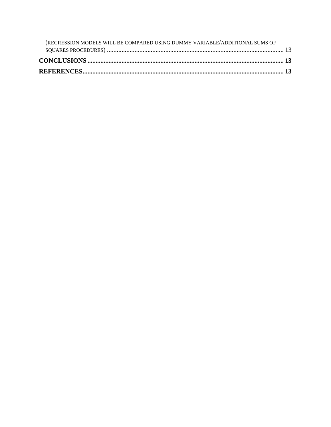| (REGRESSION MODELS WILL BE COMPARED USING DUMMY VARIABLE/ADDITIONAL SUMS OF |  |
|-----------------------------------------------------------------------------|--|
|                                                                             |  |
|                                                                             |  |
|                                                                             |  |
|                                                                             |  |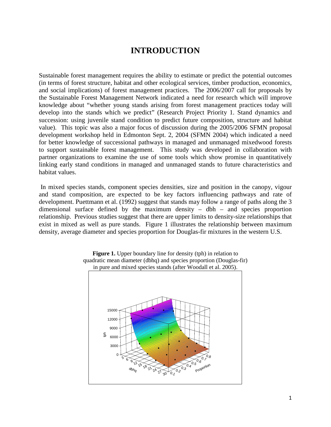#### **INTRODUCTION**

Sustainable forest management requires the ability to estimate or predict the potential outcomes (in terms of forest structure, habitat and other ecological services, timber production, economics, and social implications) of forest management practices. The 2006/2007 call for proposals by the Sustainable Forest Management Network indicated a need for research which will improve knowledge about "whether young stands arising from forest management practices today will develop into the stands which we predict" (Research Project Priority 1. Stand dynamics and succession: using juvenile stand condition to predict future composition, structure and habitat value). This topic was also a major focus of discussion during the 2005/2006 SFMN proposal development workshop held in Edmonton Sept. 2, 2004 (SFMN 2004) which indicated a need for better knowledge of successional pathways in managed and unmanaged mixedwood forests to support sustainable forest management. This study was developed in collaboration with partner organizations to examine the use of some tools which show promise in quantitatively linking early stand conditions in managed and unmanaged stands to future characteristics and habitat values.

 In mixed species stands, component species densities, size and position in the canopy, vigour and stand composition, are expected to be key factors influencing pathways and rate of development. Puettmann et al. (1992) suggest that stands may follow a range of paths along the 3 dimensional surface defined by the maximum density – dbh – and species proportion relationship. Previous studies suggest that there are upper limits to density-size relationships that exist in mixed as well as pure stands. Figure 1 illustrates the relationship between maximum density, average diameter and species proportion for Douglas-fir mixtures in the western U.S.



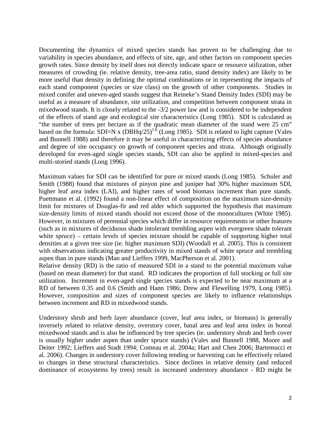Documenting the dynamics of mixed species stands has proven to be challenging due to variability in species abundance, and effects of site, age, and other factors on component species growth rates. Since density by itself does not directly indicate space or resource utilization, other measures of crowding (ie. relative density, tree-area ratio, stand density index) are likely to be more useful than density in defining the optimal combinations or in representing the impacts of each stand component (species or size class) on the growth of other components. Studies in mixed conifer and uneven-aged stands suggest that Reineke's Stand Density Index (SDI) may be useful as a measure of abundance, site utilization, and competition between component strata in mixedwood stands. It is closely related to the -3/2 power law and is considered to be independent of the effects of stand age and ecological site characteristics (Long 1985). SDI is calculated as "the number of trees per hectare as if the quadratic mean diameter of the stand were 25 cm" based on the formula: SDI=N x  $(DBHq/25)^{1.6}$  (Long 1985). SDI is related to light capture (Vales and Bunnell 1988) and therefore it may be useful in characterizing effects of species abundance and degree of site occupancy on growth of component species and strata. Although originally developed for even-aged single species stands, SDI can also be applied in mixed-species and multi-storied stands (Long 1996).

Maximum values for SDI can be identified for pure or mixed stands (Long 1985). Schuler and Smith (1988) found that mixtures of pinyon pine and juniper had 30% higher maximum SDI, higher leaf area index (LAI), and higher rates of wood biomass increment than pure stands. Puettmann et al. (1992) found a non-linear effect of composition on the maximum size-density limit for mixtures of Douglas-fir and red alder which supported the hypothesis that maximum size-density limits of mixed stands should not exceed those of the monocultures (White 1985). However, in mixtures of perennial species which differ in resource requirements or other features (such as in mixtures of deciduous shade intolerant trembling aspen with evergreen shade tolerant white spruce) – certain levels of species mixture should be capable of supporting higher total densities at a given tree size (ie. higher maximum SDI) (Woodall et al. 2005). This is consistent with observations indicating greater productivity in mixed stands of white spruce and trembling aspen than in pure stands (Man and Lieffers 1999, MacPherson et al. 2001).

Relative density (RD) is the ratio of measured SDI in a stand to the potential maximum value (based on mean diameter) for that stand. RD indicates the proportion of full stocking or full site utilization. Increment in even-aged single species stands is expected to be near maximum at a RD of between 0.35 and 0.6 (Smith and Hann 1986; Drew and Flewelling 1979, Long 1985). However, composition and sizes of component species are likely to influence relationships between increment and RD in mixedwood stands.

Understory shrub and herb layer abundance (cover, leaf area index, or biomass) is generally inversely related to relative density, overstory cover, basal area and leaf area index in boreal mixedwood stands and is also be influenced by tree species (ie. understory shrub and herb cover is usually higher under aspen than under spruce stands) (Vales and Bunnell 1988, Moore and Deiter 1992; Lieffers and Stadt 1994; Comeau et al. 2004a; Hart and Chen 2006; Bartemucci et al. 2006). Changes in understory cover following tending or harvesting can be effectively related to changes in these structural characteristics. Since declines in relative density (and reduced dominance of ecosystems by trees) result in increased understory abundance - RD might be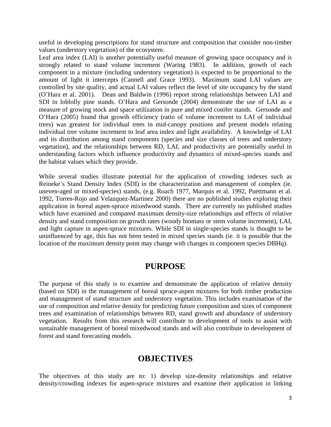useful in developing prescriptions for stand structure and composition that consider non-timber values (understory vegetation) of the ecosystem.

Leaf area index (LAI) is another potentially useful measure of growing space occupancy and is strongly related to stand volume increment (Waring 1983). In addition, growth of each component in a mixture (including understory vegetation) is expected to be proportional to the amount of light it intercepts (Cannell and Grace 1993). Maximum stand LAI values are controlled by site quality, and actual LAI values reflect the level of site occupancy by the stand (O'Hara et al. 2001). Dean and Baldwin (1996) report strong relationships between LAI and SDI in loblolly pine stands. O'Hara and Gersonde (2004) demonstrate the use of LAI as a measure of growing stock and space utilization in pure and mixed conifer stands. Gersonde and O'Hara (2005) found that growth efficiency (ratio of volume increment to LAI of individual trees) was greatest for individual trees in mid-canopy positions and present models relating individual tree volume increment to leaf area index and light availability. A knowledge of LAI and its distribution among stand components (species and size classes of trees and understory vegetation), and the relationships between RD, LAI, and productivity are potentially useful in understanding factors which influence productivity and dynamics of mixed-species stands and the habitat values which they provide.

While several studies illustrate potential for the application of crowding indexes such as Reineke's Stand Density Index (SDI) in the characterization and management of complex (ie. uneven-aged or mixed-species) stands, (e.g. Roach 1977, Marquis et al. 1992, Puettmann et al. 1992, Torres-Rojo and Velazquez-Martinez 2000) there are no published studies exploring their application in boreal aspen-spruce mixedwood stands. There are currently no published studies which have examined and compared maximum density-size relationships and effects of relative density and stand composition on growth rates (woody biomass or stem volume increment), LAI, and light capture in aspen-spruce mixtures. While SDI in single-species stands is thought to be uninfluenced by age, this has not been tested in mixed species stands (ie. it is possible that the location of the maximum density point may change with changes in component species DBHq).

#### **PURPOSE**

The purpose of this study is to examine and demonstrate the application of relative density (based on SDI) in the management of boreal spruce-aspen mixtures for both timber production and management of stand structure and understory vegetation. This includes examination of the use of composition and relative density for predicting future composition and sizes of component trees and examination of relationships between RD, stand growth and abundance of understory vegetation. Results from this research will contribute to development of tools to assist with sustainable management of boreal mixedwood stands and will also contribute to development of forest and stand forecasting models.

#### **OBJECTIVES**

The objectives of this study are to: 1) develop size-density relationships and relative density/crowding indexes for aspen-spruce mixtures and examine their application in linking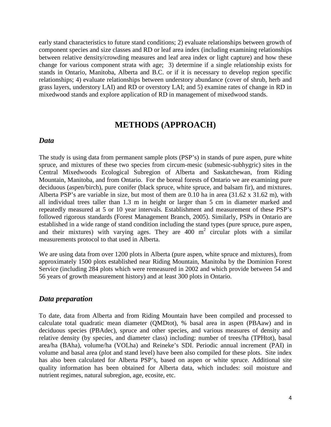early stand characteristics to future stand conditions; 2) evaluate relationships between growth of component species and size classes and RD or leaf area index (including examining relationships between relative density/crowding measures and leaf area index or light capture) and how these change for various component strata with age; 3) determine if a single relationship exists for stands in Ontario, Manitoba, Alberta and B.C. or if it is necessary to develop region specific relationships; 4) evaluate relationships between understory abundance (cover of shrub, herb and grass layers, understory LAI) and RD or overstory LAI; and 5) examine rates of change in RD in mixedwood stands and explore application of RD in management of mixedwood stands.

#### **METHODS (APPROACH)**

#### *Data*

The study is using data from permanent sample plots (PSP's) in stands of pure aspen, pure white spruce, and mixtures of these two species from circum-mesic (submesic-subhygric) sites in the Central Mixedwoods Ecological Subregion of Alberta and Saskatchewan, from Riding Mountain, Manitoba, and from Ontario. For the boreal forests of Ontario we are examining pure deciduous (aspen/birch), pure conifer (black spruce, white spruce, and balsam fir), and mixtures. Alberta PSP's are variable in size, but most of them are 0.10 ha in area (31.62 x 31.62 m), with all individual trees taller than 1.3 m in height or larger than 5 cm in diameter marked and repeatedly measured at 5 or 10 year intervals. Establishment and measurement of these PSP's followed rigorous standards (Forest Management Branch, 2005). Similarly, PSPs in Ontario are established in a wide range of stand condition including the stand types (pure spruce, pure aspen, and their mixtures) with varying ages. They are 400 m<sup>2</sup> circular plots with a similar measurements protocol to that used in Alberta.

We are using data from over 1200 plots in Alberta (pure aspen, white spruce and mixtures), from approximately 1500 plots established near Riding Mountain, Manitoba by the Dominion Forest Service (including 284 plots which were remeasured in 2002 and which provide between 54 and 56 years of growth measurement history) and at least 300 plots in Ontario.

#### *Data preparation*

To date, data from Alberta and from Riding Mountain have been compiled and processed to calculate total quadratic mean diameter (QMDtot), % basal area in aspen (PBAaw) and in deciduous species (PBAdec), spruce and other species, and various measures of density and relative density (by species, and diameter class) including: number of trees/ha (TPHtot), basal area/ha (BAha), volume/ha (VOLha) and Reineke's SDI. Periodic annual increment (PAI) in volume and basal area (plot and stand level) have been also compiled for these plots. Site index has also been calculated for Alberta PSP's, based on aspen or white spruce. Additional site quality information has been obtained for Alberta data, which includes: soil moisture and nutrient regimes, natural subregion, age, ecosite, etc.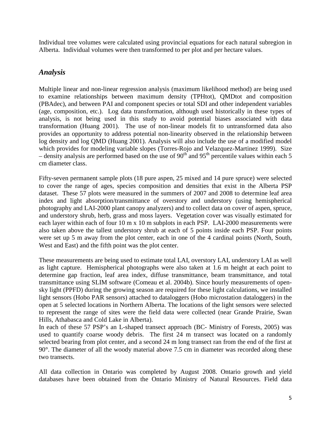Individual tree volumes were calculated using provincial equations for each natural subregion in Alberta. Individual volumes were then transformed to per plot and per hectare values.

#### *Analysis*

Multiple linear and non-linear regression analysis (maximum likelihood method) are being used to examine relationships between maximum density (TPHtot), QMDtot and composition (PBAdec), and between PAI and component species or total SDI and other independent variables (age, composition, etc.). Log data transformation, although used historically in these types of analysis, is not being used in this study to avoid potential biases associated with data transformation (Huang 2001). The use of non-linear models fit to untransformed data also provides an opportunity to address potential non-linearity observed in the relationship between log density and log QMD (Huang 2001). Analysis will also include the use of a modified model which provides for modeling variable slopes (Torres-Rojo and Velazquez-Martinez 1999). Size – density analysis are performed based on the use of  $90<sup>th</sup>$  and  $95<sup>th</sup>$  percentile values within each 5 cm diameter class.

Fifty-seven permanent sample plots (18 pure aspen, 25 mixed and 14 pure spruce) were selected to cover the range of ages, species composition and densities that exist in the Alberta PSP dataset. These 57 plots were measured in the summers of 2007 and 2008 to determine leaf area index and light absorption/transmittance of overstory and understory (using hemispherical photography and LAI-2000 plant canopy analyzers) and to collect data on cover of aspen, spruce, and understory shrub, herb, grass and moss layers. Vegetation cover was visually estimated for each layer within each of four 10 m x 10 m subplots in each PSP. LAI-2000 measurements were also taken above the tallest understory shrub at each of 5 points inside each PSP. Four points were set up 5 m away from the plot center, each in one of the 4 cardinal points (North, South, West and East) and the fifth point was the plot center.

These measurements are being used to estimate total LAI, overstory LAI, understory LAI as well as light capture. Hemispherical photographs were also taken at 1.6 m height at each point to determine gap fraction, leaf area index, diffuse transmittance, beam transmittance, and total transmittance using SLIM software (Comeau et al. 2004b). Since hourly measurements of opensky light (PPFD) during the growing season are required for these light calculations, we installed light sensors (Hobo PAR sensors) attached to dataloggers (Hobo microstation dataloggers) in the open at 5 selected locations in Northern Alberta. The locations of the light sensors were selected to represent the range of sites were the field data were collected (near Grande Prairie, Swan Hills, Athabasca and Cold Lake in Alberta).

In each of these 57 PSP's an L-shaped transect approach (BC- Ministry of Forests, 2005) was used to quantify coarse woody debris. The first 24 m transect was located on a randomly selected bearing from plot center, and a second 24 m long transect ran from the end of the first at 90°. The diameter of all the woody material above 7.5 cm in diameter was recorded along these two transects.

All data collection in Ontario was completed by August 2008. Ontario growth and yield databases have been obtained from the Ontario Ministry of Natural Resources. Field data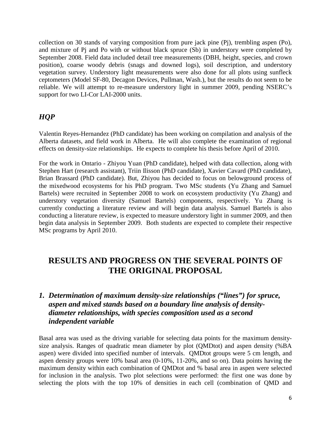collection on 30 stands of varying composition from pure jack pine (Pj), trembling aspen (Po), and mixture of Pj and Po with or without black spruce (Sb) in understory were completed by September 2008. Field data included detail tree measurements (DBH, height, species, and crown position), coarse woody debris (snags and downed logs), soil description, and understory vegetation survey. Understory light measurements were also done for all plots using sunfleck ceptometers (Model SF-80, Decagon Devices, Pullman, Wash.), but the results do not seem to be reliable. We will attempt to re-measure understory light in summer 2009, pending NSERC's support for two LI-Cor LAI-2000 units.

#### *HQP*

Valentin Reyes-Hernandez (PhD candidate) has been working on compilation and analysis of the Alberta datasets, and field work in Alberta. He will also complete the examination of regional effects on density-size relationships. He expects to complete his thesis before April of 2010.

For the work in Ontario - Zhiyou Yuan (PhD candidate), helped with data collection, along with Stephen Hart (research assistant), Triin Ilisson (PhD candidate), Xavier Cavard (PhD candidate), Brian Brassard (PhD candidate). But, Zhiyou has decided to focus on belowground process of the mixedwood ecosystems for his PhD program. Two MSc students (Yu Zhang and Samuel Bartels) were recruited in September 2008 to work on ecosystem productivity (Yu Zhang) and understory vegetation diversity (Samuel Bartels) components, respectively. Yu Zhang is currently conducting a literature review and will begin data analysis. Samuel Bartels is also conducting a literature review, is expected to measure understory light in summer 2009, and then begin data analysis in September 2009. Both students are expected to complete their respective MSc programs by April 2010.

#### **RESULTS AND PROGRESS ON THE SEVERAL POINTS OF THE ORIGINAL PROPOSAL**

#### *1. Determination of maximum density-size relationships ("lines") for spruce, aspen and mixed stands based on a boundary line analysis of densitydiameter relationships, with species composition used as a second independent variable*

Basal area was used as the driving variable for selecting data points for the maximum densitysize analysis. Ranges of quadratic mean diameter by plot (QMDtot) and aspen density (%BA aspen) were divided into specified number of intervals. QMDtot groups were 5 cm length, and aspen density groups were 10% basal area (0-10%, 11-20%, and so on). Data points having the maximum density within each combination of QMDtot and % basal area in aspen were selected for inclusion in the analysis. Two plot selections were performed: the first one was done by selecting the plots with the top 10% of densities in each cell (combination of QMD and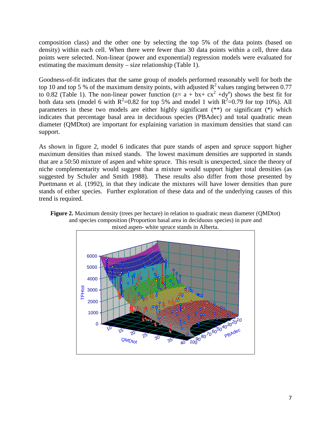composition class) and the other one by selecting the top 5% of the data points (based on density) within each cell. When there were fewer than 30 data points within a cell, three data points were selected. Non-linear (power and exponential) regression models were evaluated for estimating the maximum density – size relationship (Table 1).

Goodness-of-fit indicates that the same group of models performed reasonably well for both the top 10 and top 5 % of the maximum density points, with adjusted  $\mathbb{R}^2$  values ranging between 0.77 to 0.82 (Table 1). The non-linear power function  $(z = a + bx + cx^2 + dy^e)$  shows the best fit for both data sets (model 6 with  $R^2=0.82$  for top 5% and model 1 with  $R^2=0.79$  for top 10%). All parameters in these two models are either highly significant (\*\*) or significant (\*) which indicates that percentage basal area in deciduous species (PBAdec) and total quadratic mean diameter (QMDtot) are important for explaining variation in maximum densities that stand can support.

As shown in figure 2, model 6 indicates that pure stands of aspen and spruce support higher maximum densities than mixed stands. The lowest maximum densities are supported in stands that are a 50:50 mixture of aspen and white spruce. This result is unexpected, since the theory of niche complementarity would suggest that a mixture would support higher total densities (as suggested by Schuler and Smith 1988). These results also differ from those presented by Puettmann et al. (1992), in that they indicate the mixtures will have lower densities than pure stands of either species. Further exploration of these data and of the underlying causes of this trend is required.



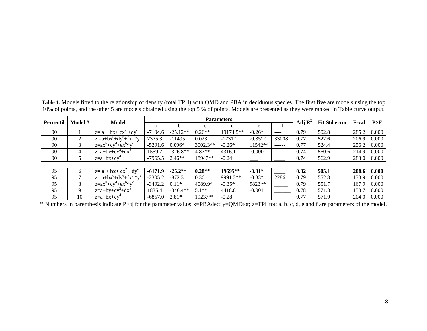**Table 1.** Models fitted to the relationship of density (total TPH) with QMD and PBA in deciduous species. The first five are models using the top 10% of points, and the other 5 are models obtained using the top 5 % of points. Models are presented as they were ranked in Table curve output.

| <b>Percentil</b> | Model # | Model                              | <b>Parameters</b> |            |            |           |           |               |                    |                      |              | P>F          |
|------------------|---------|------------------------------------|-------------------|------------|------------|-----------|-----------|---------------|--------------------|----------------------|--------------|--------------|
|                  |         |                                    | a                 |            |            |           | e         |               | Adj $\mathbf{R}^2$ | <b>Fit Std error</b> | <b>F-val</b> |              |
| 90               |         | $z = a + bx + cx^{2} + dy^{e}$     | $-7104.6$         | $-25.12**$ | $0.26**$   | 19174.5** | $-0.26*$  | $- - - -$     | 0.79               | 502.8                | 285.2        | 0.000        |
| 90               | 2       | $z = a + bx^c + dy^e + fx^c * y^e$ | 7375.3            | $-11495$   | 0.023      | $-17317$  | $-0.35**$ | 33008         | 0.77               | 522.6                | 206.9        | 0.000        |
| 90               | 3       | $z=a x^{b}+cy^{d}+ex^{b} *y^{d}$   | $-5291.6$         | $0.096*$   | $3002.3**$ | $-0.26*$  | 11542**   | $- - - - - -$ | 0.77               | 524.4                | 256.2        | 0.000        |
| 90               | 4       | $z=a+by+cy^2+dx^e$                 | 1559.7            | $-326.8**$ | $4.87**$   | 4316.1    | $-0.0001$ |               | 0.74               | 560.6                | 214.9        | 0.000        |
| 90               |         | $z=a+bx+cy^0$                      | $-7965.5$         | $2.46**$   | 18947**    | $-0.24$   |           |               | 0.74               | 562.9                | 283.0        | $\mid$ 0.000 |
|                  |         |                                    |                   |            |            |           |           |               |                    |                      |              |              |
| 95               | 6       | $z=a + bx + cx^2 + dy^e$           | $-6171.9$         | $-26.2**$  | $0.28**$   | 19695**   | $-0.31*$  |               | 0.82               | 505.1                | 208.6        | 0.000        |
| 95               |         | $z = a + bx^c + dy^e + fx^c * y^e$ | $-2305.2$         | $-872.3$   | 0.36       | 9991.2**  | $-0.33*$  | 2286          | 0.79               | 552.8                | 133.9        | 0.000        |
| 95               | 8       | $z=a x^{b}+cy^{d}+ex^{b}*y^{d}$    | $-3492.2$         | $0.11*$    | 4089.9*    | $-0.35*$  | 9823**    |               | 0.79               | 551.7                | 167.9        | 0.000        |
| 95               | 9       | $z=a+by+cy^2+dx^e$                 | 1835.4            | $-346.4**$ | $5.1**$    | 4418.8    | $-0.001$  |               | 0.78               | 571.3                | 153.7        | 0.000        |
| 95               | 10      | $z=a+bx+cy$                        | $-6857.0$         | $2.81*$    | 19237**    | $-0.28$   |           |               | 0.77               | 571.9                | 204.0        | 0.000        |

 $*$  Numbers in parenthesis indicate P>|t| for the parameter value; x=PBAdec; y=QMDtot; z=TPHtot; a, b, c, d, e and f are parameters of the model.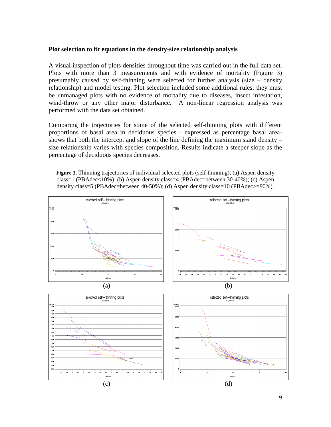#### **Plot selection to fit equations in the density-size relationship analysis**

A visual inspection of plots densities throughout time was carried out in the full data set. Plots with more than 3 measurements and with evidence of mortality (Figure 3) presumably caused by self-thinning were selected for further analysis (size – density relationship) and model testing. Plot selection included some additional rules: they must be unmanaged plots with no evidence of mortality due to diseases, insect infestation, wind-throw or any other major disturbance. A non-linear regression analysis was performed with the data set obtained.

Comparing the trajectories for some of the selected self-thinning plots with different proportions of basal area in deciduous species - expressed as percentage basal areashows that both the intercept and slope of the line defining the maximum stand density – size relationship varies with species composition. Results indicate a steeper slope as the percentage of deciduous species decreases.

**Figure 3.** Thinning trajectories of individual selected plots (self-thinning), (a) Aspen density class=1 (PBAdec<10%); (b) Aspen density class=4 (PBAdec=between  $30-40\%$ ); (c) Aspen density class=5 (PBAdec=between 40-50%); (d) Aspen density class=10 (PBAdec>=90%).

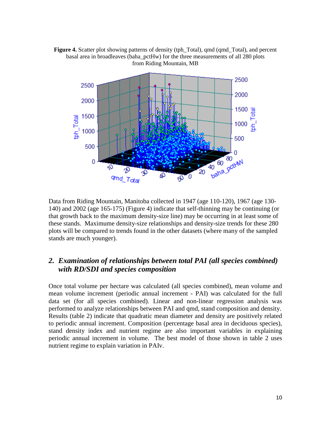



Data from Riding Mountain, Manitoba collected in 1947 (age 110-120), 1967 (age 130- 140) and 2002 (age 165-175) (Figure 4) indicate that self-thinning may be continuing (or that growth back to the maximum density-size line) may be occurring in at least some of these stands. Maximume density-size relationships and density-size trends for these 280 plots will be compared to trends found in the other datasets (where many of the sampled stands are much younger).

#### *2. Examination of relationships between total PAI (all species combined) with RD/SDI and species composition*

Once total volume per hectare was calculated (all species combined), mean volume and mean volume increment (periodic annual increment - PAI) was calculated for the full data set (for all species combined). Linear and non-linear regression analysis was performed to analyze relationships between PAI and qmd, stand composition and density. Results (table 2) indicate that quadratic mean diameter and density are positively related to periodic annual increment. Composition (percentage basal area in deciduous species), stand density index and nutrient regime are also important variables in explaining periodic annual increment in volume. The best model of those shown in table 2 uses nutrient regime to explain variation in PAIv.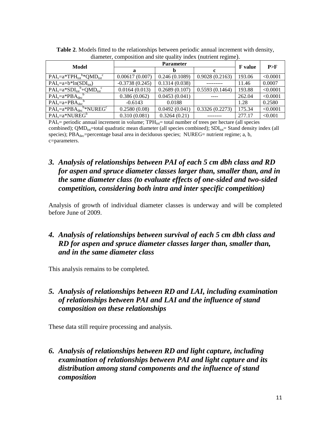| $\alpha$ and $\beta$ , composition and site quality index (nutrient regime). |                  |                |                |        |          |  |  |  |  |
|------------------------------------------------------------------------------|------------------|----------------|----------------|--------|----------|--|--|--|--|
| Model                                                                        |                  | <b>F</b> value | P>F            |        |          |  |  |  |  |
|                                                                              | a                | b              | c              |        |          |  |  |  |  |
| $PAI_v=a*TPH_{tot}^b*QMD_{tot}^c$                                            | 0.00617(0.007)   | 0.246(0.1089)  | 0.9028(0.2163) | 193.06 | < 0.0001 |  |  |  |  |
| $PAI_v=a+b*ln(SDI_{tot})$                                                    | $-0.3738(0.245)$ | 0.1314(0.038)  |                | 11.46  | 0.0007   |  |  |  |  |
| $PAI_v=a*SDI_{tot}^b+QMD_{tot}^c$                                            | 0.0164(0.013)    | 0.2689(0.107)  | 0.5593(0.1464) | 193.88 | < 0.0001 |  |  |  |  |
| $PAI_v=a*PBA_{dec}$ <sup>b</sup>                                             | 0.386(0.062)     | 0.0453(0.041)  |                | 262.04 | < 0.0001 |  |  |  |  |
| $PAI_v=a+PBA_{dec}$ <sup>b</sup>                                             | $-0.6143$        | 0.0188         |                | 1.28   | 0.2580   |  |  |  |  |
| $PAI_v=a*PBA_{dec}^b*NUREG^c$                                                | 0.2580(0.08)     | 0.0492(0.041)  | 0.3326(0.2273) | 175.34 | < 0.0001 |  |  |  |  |
| $PAI_v=a*NUREG^b$                                                            | 0.310(0.081)     | 0.3264(0.21)   |                | 277.17 | < 0.001  |  |  |  |  |

**Table 2**. Models fitted to the relationships between periodic annual increment with density, diameter, composition and site quality index (nutrient regime).

 $PAI<sub>v</sub>=$  periodic annual increment in volume;  $TPH<sub>tot</sub>=$  total number of trees per hectare (all species combined);  $QMD_{tot}$ =total quadratic mean diameter (all species combined);  $SDI_{tot}$ = Stand density index (all species);  $PBA_{dec}=p$ ercentage basal area in deciduous species; NUREG= nutrient regime; a, b, c=parameters.

#### *3. Analysis of relationships between PAI of each 5 cm dbh class and RD for aspen and spruce diameter classes larger than, smaller than, and in the same diameter class (to evaluate effects of one-sided and two-sided competition, considering both intra and inter specific competition)*

Analysis of growth of individual diameter classes is underway and will be completed before June of 2009.

#### *4. Analysis of relationships between survival of each 5 cm dbh class and RD for aspen and spruce diameter classes larger than, smaller than, and in the same diameter class*

This analysis remains to be completed.

#### *5. Analysis of relationships between RD and LAI, including examination of relationships between PAI and LAI and the influence of stand composition on these relationships*

These data still require processing and analysis.

#### *6. Analysis of relationships between RD and light capture, including examination of relationships between PAI and light capture and its distribution among stand components and the influence of stand composition*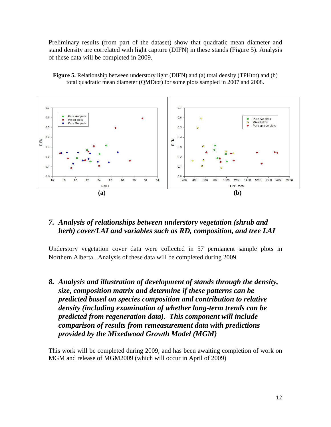Preliminary results (from part of the dataset) show that quadratic mean diameter and stand density are correlated with light capture (DIFN) in these stands (Figure 5). Analysis of these data will be completed in 2009.

**Figure 5.** Relationship between understory light (DIFN) and (a) total density (TPHtot) and (b) total quadratic mean diameter (QMDtot) for some plots sampled in 2007 and 2008.



#### *7. Analysis of relationships between understory vegetation (shrub and herb) cover/LAI and variables such as RD, composition, and tree LAI*

Understory vegetation cover data were collected in 57 permanent sample plots in Northern Alberta. Analysis of these data will be completed during 2009.

*8. Analysis and illustration of development of stands through the density, size, composition matrix and determine if these patterns can be predicted based on species composition and contribution to relative density (including examination of whether long-term trends can be predicted from regeneration data). This component will include comparison of results from remeasurement data with predictions provided by the Mixedwood Growth Model (MGM)* 

This work will be completed during 2009, and has been awaiting completion of work on MGM and release of MGM2009 (which will occur in April of 2009)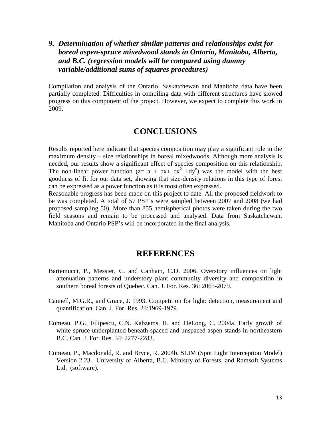#### *9. Determination of whether similar patterns and relationships exist for boreal aspen-spruce mixedwood stands in Ontario, Manitoba, Alberta, and B.C. (regression models will be compared using dummy variable/additional sums of squares procedures)*

Compilation and analysis of the Ontario, Saskatchewan and Manitoba data have been partially completed. Difficulties in compiling data with different structures have slowed progress on this component of the project. However, we expect to complete this work in 2009.

#### **CONCLUSIONS**

Results reported here indicate that species composition may play a significant role in the maximum density – size relationships in boreal mixedwoods. Although more analysis is needed, our results show a significant effect of species composition on this relationship. The non-linear power function ( $z = a + bx + cx^2 + dy^e$ ) was the model with the best goodness of fit for our data set, showing that size-density relations in this type of forest can be expressed as a power function as it is most often expressed.

Reasonable progress has been made on this project to date. All the proposed fieldwork to be was completed. A total of 57 PSP's were sampled between 2007 and 2008 (we had proposed sampling 50). More than 855 hemispherical photos were taken during the two field seasons and remain to be processed and analysed. Data from Saskatchewan, Manitoba and Ontario PSP's will be incorporated in the final analysis.

#### **REFERENCES**

- Bartemucci, P., Messier, C. and Canham, C.D. 2006. Overstory influences on light attenuation patterns and understory plant community diversity and composition in southern boreal forests of Quebec. Can. J. For. Res. 36: 2065-2079.
- Cannell, M.G.R., and Grace, J. 1993. Competition for light: detection, measurement and quantification. Can. J. For. Res. 23:1969-1979.
- Comeau, P.G., Filipescu, C.N. Kabzems, R. and DeLong, C. 2004a. Early growth of white spruce underplanted beneath spaced and unspaced aspen stands in northeastern B.C. Can. J. For. Res. 34: 2277-2283.
- Comeau, P., Macdonald, R. and Bryce, R. 2004b. SLIM (Spot Light Interception Model) Version 2.23. University of Alberta, B.C. Ministry of Forests, and Ramsoft Systems Ltd. (software).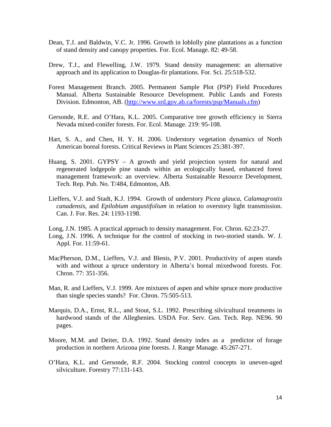- Dean, T.J. and Baldwin, V.C. Jr. 1996. Growth in loblolly pine plantations as a function of stand density and canopy properties. For. Ecol. Manage. 82: 49-58.
- Drew, T.J., and Flewelling, J.W. 1979. Stand density management: an alternative approach and its application to Douglas-fir plantations. For. Sci. 25:518-532.
- Forest Management Branch. 2005. Permanent Sample Plot (PSP) Field Procedures Manual. Alberta Sustainable Resource Development. Public Lands and Forests Division. Edmonton, AB. (http://www.srd.gov.ab.ca/forests/psp/Manuals.cfm)
- Gersonde, R.E. and O'Hara, K.L. 2005. Comparative tree growth efficiency in Sierra Nevada mixed-conifer forests. For. Ecol. Manage. 219: 95-108.
- Hart, S. A., and Chen, H. Y. H. 2006. Understory vegetation dynamics of North American boreal forests. Critical Reviews in Plant Sciences 25:381-397.
- Huang, S. 2001. GYPSY A growth and yield projection system for natural and regenerated lodgepole pine stands within an ecologically based, enhanced forest management framework: an overview. Alberta Sustainable Resource Development, Tech. Rep. Pub. No. T/484, Edmonton, AB.
- Lieffers, V.J. and Stadt, K.J. 1994. Growth of understory *Picea glauca, Calamagrostis canadensis,* and *Epilobium angustifolium* in relation to overstory light transmission. Can. J. For. Res. 24: 1193-1198.
- Long, J.N. 1985. A practical approach to density management. For. Chron. 62:23-27.
- Long, J.N. 1996. A technique for the control of stocking in two-storied stands. W. J. Appl. For. 11:59-61.
- MacPherson, D.M., Lieffers, V.J. and Blenis, P.V. 2001. Productivity of aspen stands with and without a spruce understory in Alberta's boreal mixedwood forests. For. Chron. 77: 351-356.
- Man, R. and Lieffers, V.J. 1999. Are mixtures of aspen and white spruce more productive than single species stands? For. Chron. 75:505-513.
- Marquis, D.A., Ernst, R.L., and Stout, S.L. 1992. Prescribing silvicultural treatments in hardwood stands of the Alleghenies. USDA For. Serv. Gen. Tech. Rep. NE96. 90 pages.
- Moore, M.M. and Deiter, D.A. 1992. Stand density index as a predictor of forage production in northern Arizona pine forests. J. Range Manage. 45:267-271.
- O'Hara, K.L. and Gersonde, R.F. 2004. Stocking control concepts in uneven-aged silviculture. Forestry 77:131-143.